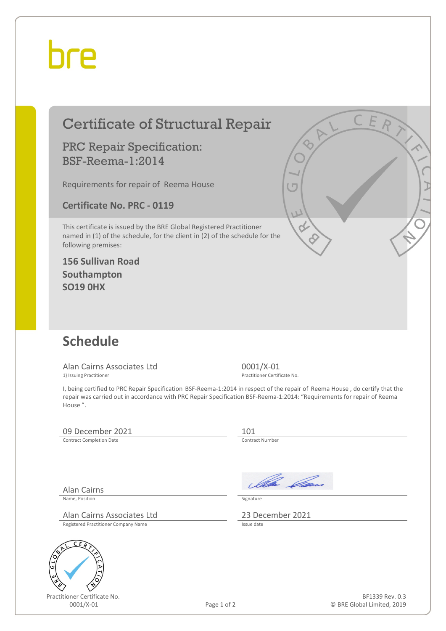## bre

| <b>Certificate of Structural Repair</b>                                                                                                                                    |             | CER                                                                                                                                                                                                                                                    |
|----------------------------------------------------------------------------------------------------------------------------------------------------------------------------|-------------|--------------------------------------------------------------------------------------------------------------------------------------------------------------------------------------------------------------------------------------------------------|
| <b>PRC Repair Specification:</b><br><b>BSF-Reema-1:2014</b>                                                                                                                |             |                                                                                                                                                                                                                                                        |
| Requirements for repair of Reema House                                                                                                                                     |             | (Γ                                                                                                                                                                                                                                                     |
| <b>Certificate No. PRC - 0119</b>                                                                                                                                          |             |                                                                                                                                                                                                                                                        |
| This certificate is issued by the BRE Global Registered Practitioner<br>named in (1) of the schedule, for the client in (2) of the schedule for the<br>following premises: |             | U                                                                                                                                                                                                                                                      |
| <b>156 Sullivan Road</b><br>Southampton<br><b>SO19 0HX</b>                                                                                                                 |             |                                                                                                                                                                                                                                                        |
|                                                                                                                                                                            |             |                                                                                                                                                                                                                                                        |
| <b>Schedule</b>                                                                                                                                                            |             |                                                                                                                                                                                                                                                        |
| Alan Cairns Associates Ltd                                                                                                                                                 |             | 0001/X-01<br>Practitioner Certificate No.                                                                                                                                                                                                              |
| 1) Issuing Practitioner<br>House".                                                                                                                                         |             | I, being certified to PRC Repair Specification BSF-Reema-1:2014 in respect of the repair of Reema House, do certify that the<br>repair was carried out in accordance with PRC Repair Specification BSF-Reema-1:2014: "Requirements for repair of Reema |
| 09 December 2021                                                                                                                                                           |             | 101                                                                                                                                                                                                                                                    |
| <b>Contract Completion Date</b>                                                                                                                                            |             | Contract Number                                                                                                                                                                                                                                        |
|                                                                                                                                                                            |             | Illa Can                                                                                                                                                                                                                                               |
| <b>Alan Cairns</b><br>Name, Position                                                                                                                                       |             | Signature                                                                                                                                                                                                                                              |
| Alan Cairns Associates Ltd                                                                                                                                                 |             | 23 December 2021                                                                                                                                                                                                                                       |
| Registered Practitioner Company Name                                                                                                                                       |             | Issue date                                                                                                                                                                                                                                             |
| C<br>ER                                                                                                                                                                    |             |                                                                                                                                                                                                                                                        |
|                                                                                                                                                                            |             |                                                                                                                                                                                                                                                        |
| Practitioner Certificate No.                                                                                                                                               |             | BF1339 Rev. 0.3                                                                                                                                                                                                                                        |
| 0001/X-01                                                                                                                                                                  | Page 1 of 2 | © BRE Global Limited, 2019                                                                                                                                                                                                                             |